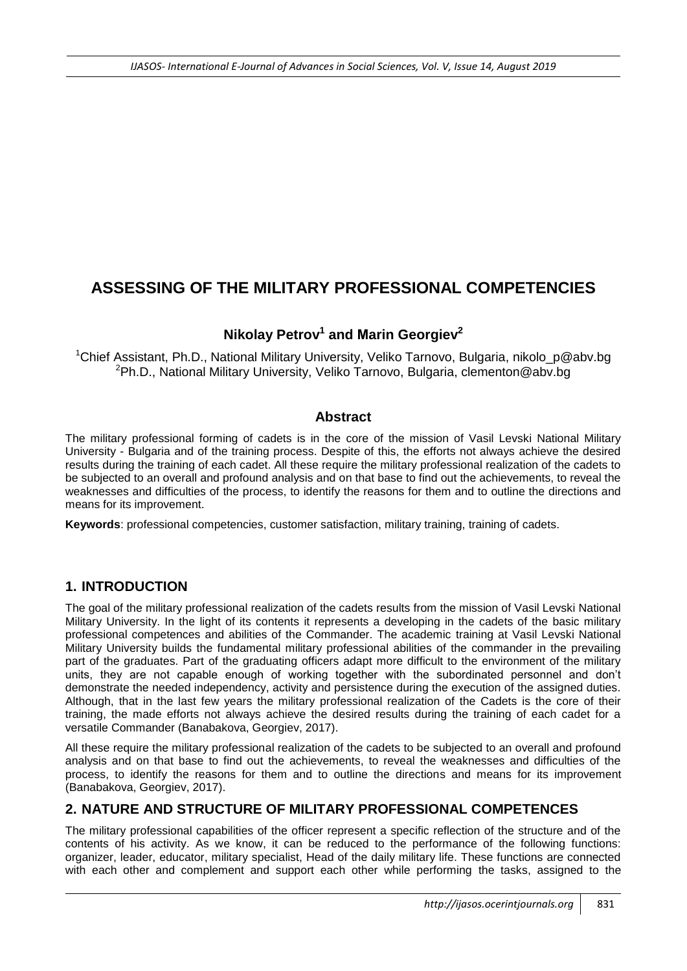# **ASSESSING OF THE MILITARY PROFESSIONAL COMPETENCIES**

# **Nikolay Petrov<sup>1</sup> and Мarin Georgiev<sup>2</sup>**

<sup>1</sup>Chief Assistant, Ph.D., National Military University, Veliko Tarnovo, Bulgaria, nikolo\_p@abv.bg <sup>2</sup>Ph.D., National Military University, Veliko Tarnovo, Bulgaria, clementon@abv.bg

### **Abstract**

The military professional forming of cadets is in the core of the mission of Vasil Levski National Military University - Bulgaria and of the training process. Despite of this, the efforts not always achieve the desired results during the training of each cadet. All these require the military professional realization of the cadets to be subjected to an overall and profound analysis and on that base to find out the achievements, to reveal the weaknesses and difficulties of the process, to identify the reasons for them and to outline the directions and means for its improvement.

**Keywords**: professional competencies, customer satisfaction, military training, training of cadets.

# **1. INTRODUCTION**

The goal of the military professional realization of the cadets results from the mission of Vasil Levski National Military University. In the light of its contents it represents a developing in the cadets of the basic military professional competences and abilities of the Commander. The academic training at Vasil Levski National Military University builds the fundamental military professional abilities of the commander in the prevailing part of the graduates. Part of the graduating officers adapt more difficult to the environment of the military units, they are not capable enough of working together with the subordinated personnel and don't demonstrate the needed independency, activity and persistence during the execution of the assigned duties. Although, that in the last few years the military professional realization of the Cadets is the core of their training, the made efforts not always achieve the desired results during the training of each cadet for a versatile Commander (Banabakova, Georgiev, 2017).

All these require the military professional realization of the cadets to be subjected to an overall and profound analysis and on that base to find out the achievements, to reveal the weaknesses and difficulties of the process, to identify the reasons for them and to outline the directions and means for its improvement (Banabakova, Georgiev, 2017).

# **2. NATURE AND STRUCTURE OF MILITARY PROFESSIONAL COMPETENCES**

The military professional capabilities of the officer represent a specific reflection of the structure and of the contents of his activity. As we know, it can be reduced to the performance of the following functions: organizer, leader, educator, military specialist, Head of the daily military life. These functions are connected with each other and complement and support each other while performing the tasks, assigned to the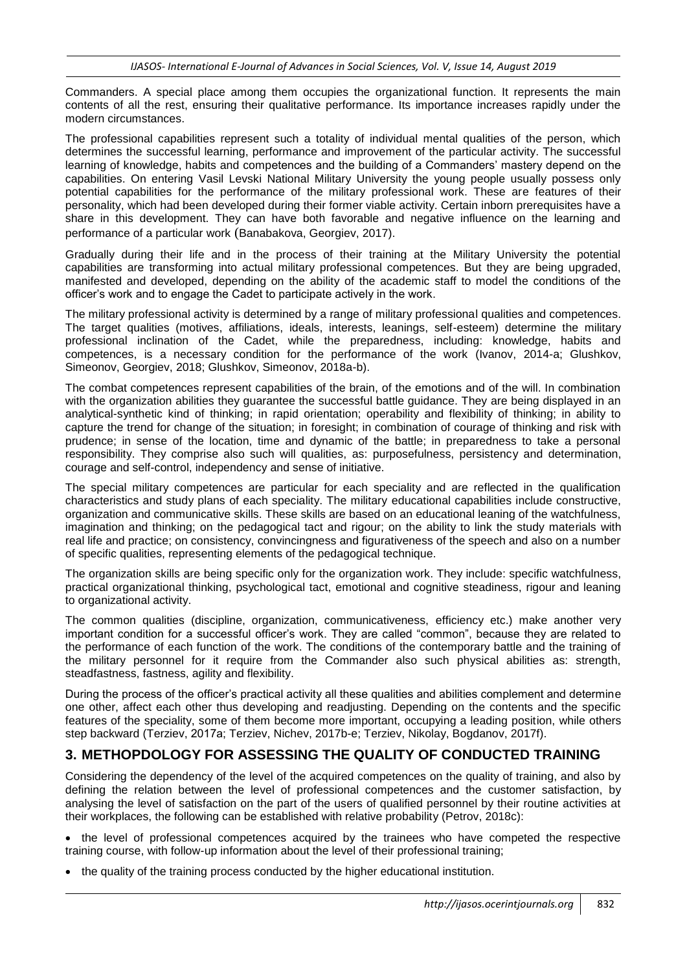Commanders. A special place among them occupies the organizational function. It represents the main contents of all the rest, ensuring their qualitative performance. Its importance increases rapidly under the modern circumstances.

The professional capabilities represent such a totality of individual mental qualities of the person, which determines the successful learning, performance and improvement of the particular activity. The successful learning of knowledge, habits and competences and the building of a Commanders' mastery depend on the capabilities. On entering Vasil Levski National Military University the young people usually possess only potential capabilities for the performance of the military professional work. These are features of their personality, which had been developed during their former viable activity. Certain inborn prerequisites have a share in this development. They can have both favorable and negative influence on the learning and performance of a particular work (Banabakova, Georgiev, 2017).

Gradually during their life and in the process of their training at the Military University the potential capabilities are transforming into actual military professional competences. But they are being upgraded, manifested and developed, depending on the ability of the academic staff to model the conditions of the officer's work and to engage the Cadet to participate actively in the work.

The military professional activity is determined by a range of military professional qualities and competences. The target qualities (motives, affiliations, ideals, interests, leanings, self-esteem) determine the military professional inclination of the Cadet, while the preparedness, including: knowledge, habits and competences, is a necessary condition for the performance of the work (Ivanov, 2014-a; Glushkov, Simeonov, Georgiev, 2018; Glushkov, Simeonov, 2018a-b).

The combat competences represent capabilities of the brain, of the emotions and of the will. In combination with the organization abilities they guarantee the successful battle guidance. They are being displayed in an analytical-synthetic kind of thinking; in rapid orientation; operability and flexibility of thinking; in ability to capture the trend for change of the situation; in foresight; in combination of courage of thinking and risk with prudence; in sense of the location, time and dynamic of the battle; in preparedness to take a personal responsibility. They comprise also such will qualities, as: purposefulness, persistency and determination, courage and self-control, independency and sense of initiative.

The special military competences are particular for each speciality and are reflected in the qualification characteristics and study plans of each speciality. The military educational capabilities include constructive, organization and communicative skills. These skills are based on an educational leaning of the watchfulness, imagination and thinking; on the pedagogical tact and rigour; on the ability to link the study materials with real life and practice; on consistency, convincingness and figurativeness of the speech and also on a number of specific qualities, representing elements of the pedagogical technique.

The organization skills are being specific only for the organization work. They include: specific watchfulness, practical organizational thinking, psychological tact, emotional and cognitive steadiness, rigour and leaning to organizational activity.

The common qualities (discipline, organization, communicativeness, efficiency etc.) make another very important condition for a successful officer's work. They are called "common", because they are related to the performance of each function of the work. The conditions of the contemporary battle and the training of the military personnel for it require from the Commander also such physical abilities as: strength, steadfastness, fastness, agility and flexibility.

During the process of the officer's practical activity all these qualities and abilities complement and determine one other, affect each other thus developing and readjusting. Depending on the contents and the specific features of the speciality, some of them become more important, occupying a leading position, while others step backward (Terziev, 2017а; Terziev, Nichev, 2017b-e; Terziev, Nikolay, Bogdanov, 2017f).

# **3. METHOPDOLOGY FOR ASSESSING THE QUALITY OF CONDUCTED TRAINING**

Considering the dependency of the level of the acquired competences on the quality of training, and also by defining the relation between the level of professional competences and the customer satisfaction, by analysing the level of satisfaction on the part of the users of qualified personnel by their routine activities at their workplaces, the following can be established with relative probability (Petrov, 2018c):

• the level of professional competences acquired by the trainees who have competed the respective training course, with follow-up information about the level of their professional training;

• the quality of the training process conducted by the higher educational institution.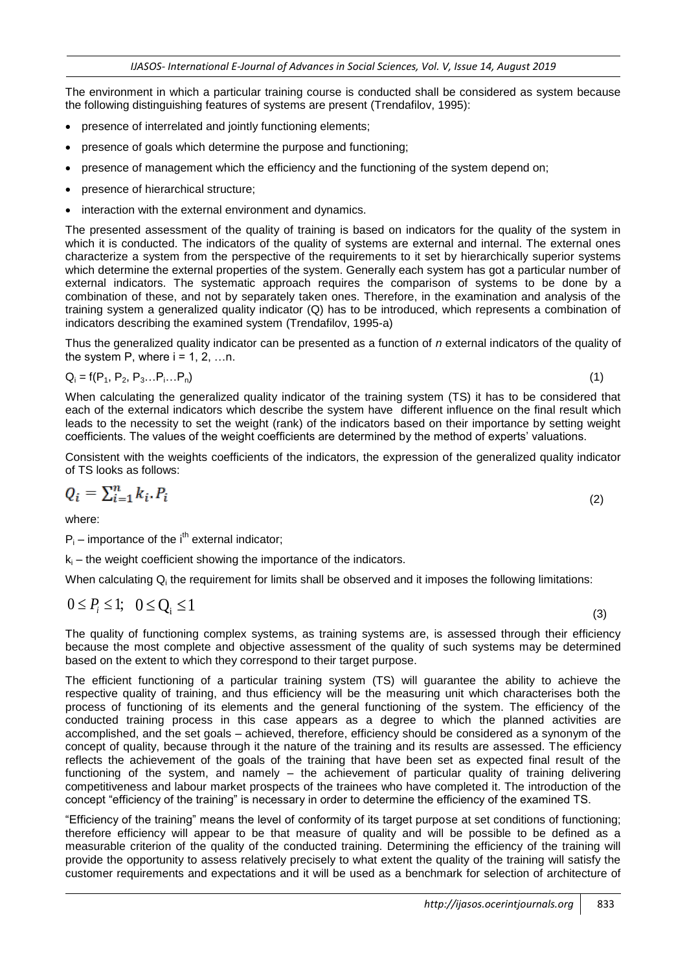The environment in which a particular training course is conducted shall be considered as system because the following distinguishing features of systems are present (Trendafilov, 1995):

- presence of interrelated and jointly functioning elements;
- presence of goals which determine the purpose and functioning;
- presence of management which the efficiency and the functioning of the system depend on;
- presence of hierarchical structure;
- interaction with the external environment and dynamics.

The presented assessment of the quality of training is based on indicators for the quality of the system in which it is conducted. The indicators of the quality of systems are external and internal. The external ones characterize a system from the perspective of the requirements to it set by hierarchically superior systems which determine the external properties of the system. Generally each system has got a particular number of external indicators. The systematic approach requires the comparison of systems to be done by a combination of these, and not by separately taken ones. Therefore, in the examination and analysis of the training system a generalized quality indicator (Q) has to be introduced, which represents a combination of indicators describing the examined system (Trendafilov, 1995-a)

Thus the generalized quality indicator can be presented as a function of *n* external indicators of the quality of the system P, where  $i = 1, 2, \ldots n$ .

$$
Q_i = f(P_1, P_2, P_3...P_i...P_n)
$$
\n(1)

When calculating the generalized quality indicator of the training system (TS) it has to be considered that each of the external indicators which describe the system have different influence on the final result which leads to the necessity to set the weight (rank) of the indicators based on their importance by setting weight coefficients. The values of the weight coefficients are determined by the method of experts' valuations.

Consistent with the weights coefficients of the indicators, the expression of the generalized quality indicator of TS looks as follows:

(2)

$$
Q_i = \sum_{i=1}^n k_i P_i
$$

where:

 $P_i$  – importance of the i<sup>th</sup> external indicator;

 $k<sub>i</sub>$  – the weight coefficient showing the importance of the indicators.

When calculating Q<sub>i</sub> the requirement for limits shall be observed and it imposes the following limitations:

$$
0 \le P_i \le 1; \quad 0 \le Q_i \le 1 \tag{3}
$$

The quality of functioning complex systems, as training systems are, is assessed through their efficiency because the most complete and objective assessment of the quality of such systems may be determined based on the extent to which they correspond to their target purpose.

The efficient functioning of a particular training system (TS) will guarantee the ability to achieve the respective quality of training, and thus efficiency will be the measuring unit which characterises both the process of functioning of its elements and the general functioning of the system. The efficiency of the conducted training process in this case appears as a degree to which the planned activities are accomplished, and the set goals – achieved, therefore, efficiency should be considered as a synonym of the concept of quality, because through it the nature of the training and its results are assessed. The efficiency reflects the achievement of the goals of the training that have been set as expected final result of the functioning of the system, and namely – the achievement of particular quality of training delivering competitiveness and labour market prospects of the trainees who have completed it. The introduction of the concept "efficiency of the training" is necessary in order to determine the efficiency of the examined TS.

"Efficiency of the training" means the level of conformity of its target purpose at set conditions of functioning; therefore efficiency will appear to be that measure of quality and will be possible to be defined as a measurable criterion of the quality of the conducted training. Determining the efficiency of the training will provide the opportunity to assess relatively precisely to what extent the quality of the training will satisfy the customer requirements and expectations and it will be used as a benchmark for selection of architecture of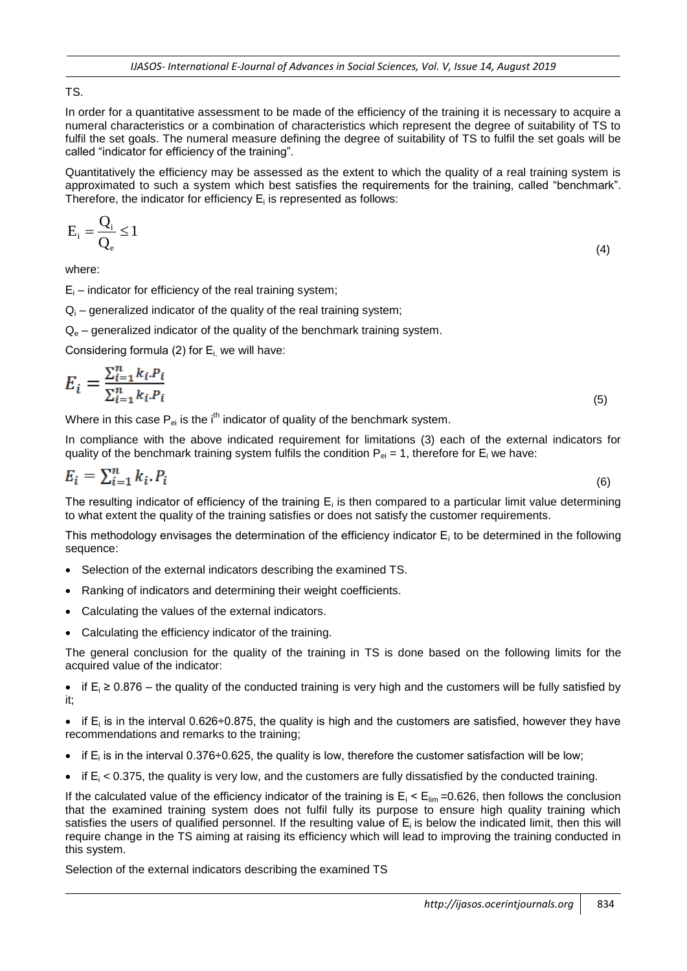#### TS.

In order for a quantitative assessment to be made of the efficiency of the training it is necessary to acquire a numeral characteristics or a combination of characteristics which represent the degree of suitability of TS to fulfil the set goals. The numeral measure defining the degree of suitability of TS to fulfil the set goals will be called "indicator for efficiency of the training".

Quantitatively the efficiency may be assessed as the extent to which the quality of a real training system is approximated to such a system which best satisfies the requirements for the training, called "benchmark". Therefore, the indicator for efficiency  $E_i$  is represented as follows:

$$
E_i = \frac{Q_i}{Q_e} \le 1
$$
\n(4)

where:

 $E_i$  – indicator for efficiency of the real training system;

 $Q<sub>i</sub>$  – generalized indicator of the quality of the real training system;

 $Q<sub>e</sub>$  – generalized indicator of the quality of the benchmark training system.

Considering formula (2) for  $E_i$ , we will have:

$$
E_i = \frac{\sum_{i=1}^{n} k_i P_i}{\sum_{i=1}^{n} k_i P_i}
$$
\n
$$
(5)
$$

Where in this case  $P_{ei}$  is the i<sup>th</sup> indicator of quality of the benchmark system.

In compliance with the above indicated requirement for limitations (3) each of the external indicators for quality of the benchmark training system fulfils the condition  $P_{ei} = 1$ , therefore for  $E_i$  we have:

$$
E_i = \sum_{i=1}^n k_i P_i \tag{6}
$$

The resulting indicator of efficiency of the training  $E_i$  is then compared to a particular limit value determining to what extent the quality of the training satisfies or does not satisfy the customer requirements.

This methodology envisages the determination of the efficiency indicator  $E_i$  to be determined in the following sequence:

- Selection of the external indicators describing the examined TS.
- Ranking of indicators and determining their weight coefficients.
- Calculating the values of the external indicators.
- Calculating the efficiency indicator of the training.

The general conclusion for the quality of the training in TS is done based on the following limits for the acquired value of the indicator:

• if  $E_i$  ≥ 0.876 – the quality of the conducted training is very high and the customers will be fully satisfied by it;

 $\bullet$  if E<sub>i</sub> is in the interval 0.626÷0.875, the quality is high and the customers are satisfied, however they have recommendations and remarks to the training;

- $\bullet$  if E<sub>i</sub> is in the interval 0.376÷0.625, the quality is low, therefore the customer satisfaction will be low;
- $\bullet$  if  $E_i$  < 0.375, the quality is very low, and the customers are fully dissatisfied by the conducted training.

If the calculated value of the efficiency indicator of the training is  $E_i < E_{lim} = 0.626$ , then follows the conclusion that the examined training system does not fulfil fully its purpose to ensure high quality training which satisfies the users of qualified personnel. If the resulting value of  $E_i$  is below the indicated limit, then this will require change in the TS aiming at raising its efficiency which will lead to improving the training conducted in this system.

Selection of the external indicators describing the examined TS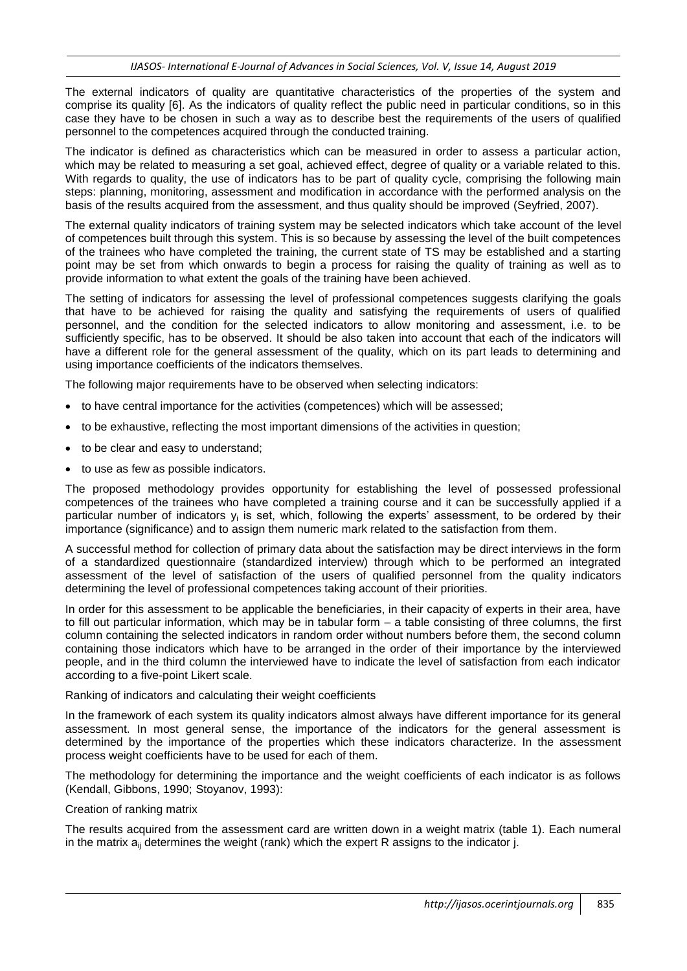The external indicators of quality are quantitative characteristics of the properties of the system and comprise its quality [6]. As the indicators of quality reflect the public need in particular conditions, so in this case they have to be chosen in such a way as to describe best the requirements of the users of qualified personnel to the competences acquired through the conducted training.

The indicator is defined as characteristics which can be measured in order to assess a particular action, which may be related to measuring a set goal, achieved effect, degree of quality or a variable related to this. With regards to quality, the use of indicators has to be part of quality cycle, comprising the following main steps: planning, monitoring, assessment and modification in accordance with the performed analysis on the basis of the results acquired from the assessment, and thus quality should be improved (Seyfried, 2007).

The external quality indicators of training system may be selected indicators which take account of the level of competences built through this system. This is so because by assessing the level of the built competences of the trainees who have completed the training, the current state of TS may be established and a starting point may be set from which onwards to begin a process for raising the quality of training as well as to provide information to what extent the goals of the training have been achieved.

The setting of indicators for assessing the level of professional competences suggests clarifying the goals that have to be achieved for raising the quality and satisfying the requirements of users of qualified personnel, and the condition for the selected indicators to allow monitoring and assessment, i.e. to be sufficiently specific, has to be observed. It should be also taken into account that each of the indicators will have a different role for the general assessment of the quality, which on its part leads to determining and using importance coefficients of the indicators themselves.

The following major requirements have to be observed when selecting indicators:

- to have central importance for the activities (competences) which will be assessed;
- to be exhaustive, reflecting the most important dimensions of the activities in question;
- to be clear and easy to understand;
- to use as few as possible indicators.

The proposed methodology provides opportunity for establishing the level of possessed professional competences of the trainees who have completed a training course and it can be successfully applied if a particular number of indicators y<sub>i</sub> is set, which, following the experts' assessment, to be ordered by their importance (significance) and to assign them numeric mark related to the satisfaction from them.

A successful method for collection of primary data about the satisfaction may be direct interviews in the form of a standardized questionnaire (standardized interview) through which to be performed an integrated assessment of the level of satisfaction of the users of qualified personnel from the quality indicators determining the level of professional competences taking account of their priorities.

In order for this assessment to be applicable the beneficiaries, in their capacity of experts in their area, have to fill out particular information, which may be in tabular form – a table consisting of three columns, the first column containing the selected indicators in random order without numbers before them, the second column containing those indicators which have to be arranged in the order of their importance by the interviewed people, and in the third column the interviewed have to indicate the level of satisfaction from each indicator according to a five-point Likert scale.

#### Ranking of indicators and calculating their weight coefficients

In the framework of each system its quality indicators almost always have different importance for its general assessment. In most general sense, the importance of the indicators for the general assessment is determined by the importance of the properties which these indicators characterize. In the assessment process weight coefficients have to be used for each of them.

The methodology for determining the importance and the weight coefficients of each indicator is as follows (Kendall, Gibbons, 1990; Stoyanov, 1993):

#### Creation of ranking matrix

The results acquired from the assessment card are written down in a weight matrix (table 1). Each numeral in the matrix  $a_{ii}$  determines the weight (rank) which the expert R assigns to the indicator j.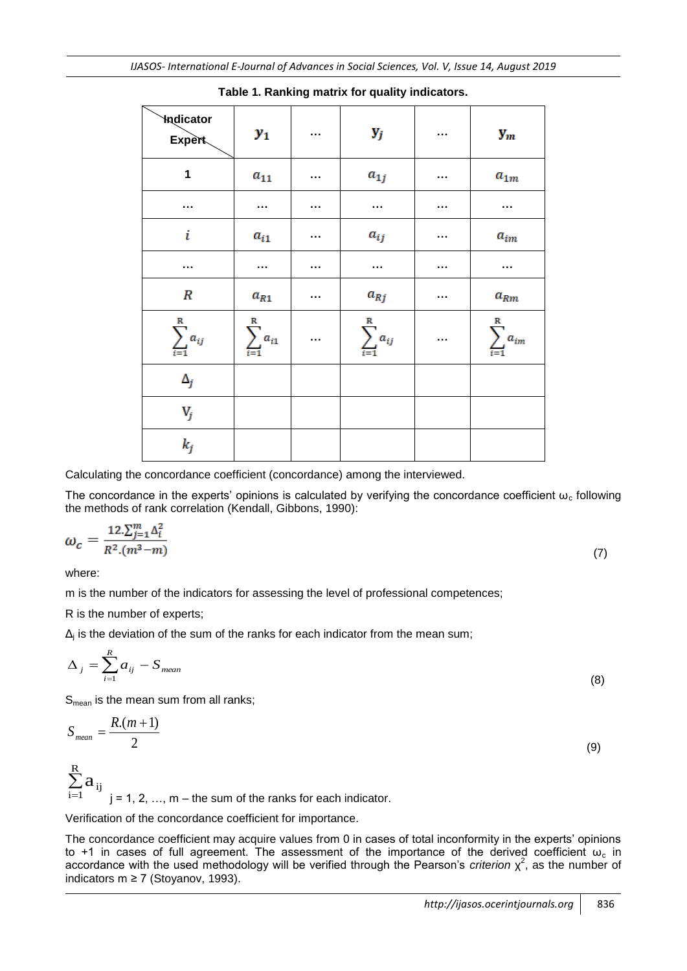| <b>Indicator</b><br><b>Expert</b> | $y_1$                           | $\cdots$ | $\mathbf{y}_j$ | $\sim$ $\sim$ | $y_m$                             |
|-----------------------------------|---------------------------------|----------|----------------|---------------|-----------------------------------|
| $\mathbf 1$                       | $a_{11}$                        | $\cdots$ | $a_{1j}$       | $\cdots$      | $a_{1m}$                          |
| $\cdots$                          |                                 | $\cdots$ | $\cdots$       | $\sim$ $\sim$ | $\cdots$                          |
| i                                 | $a_{i1}$                        | $\cdots$ | $a_{ij}$       | $\cdots$      | $a_{im}$                          |
| $\cdots$                          |                                 | $\cdots$ | $\cdots$       | $\sim$ $\sim$ | $\cdots$                          |
| $\pmb{R}$                         | $a_{R1}$                        | $\cdots$ | $a_{Rj}$       | $\cdots$      | $a_{Rm}$                          |
| $\sum_{i=1}^{\text{R}}a_{ij}$     | $\sum_{i=1}^{\texttt{R}}a_{i1}$ | $\cdots$ |                | $\sim$ $\sim$ | R<br>$\sum_{i=1}^{\infty} a_{im}$ |
| $\Delta_j$                        |                                 |          |                |               |                                   |
| $V_j$                             |                                 |          |                |               |                                   |
| $k_j$                             |                                 |          |                |               |                                   |

#### **Table 1. Ranking matrix for quality indicators.**

Calculating the concordance coefficient (concordance) among the interviewed.

The concordance in the experts' opinions is calculated by verifying the concordance coefficient  $\omega_c$  following the methods of rank correlation (Kendall, Gibbons, 1990):

$$
\omega_c = \frac{12 \cdot \sum_{j=1}^{m} \Delta_i^2}{R^2 \cdot (m^3 - m)}\tag{7}
$$

where:

m is the number of the indicators for assessing the level of professional competences;

R is the number of experts;

 $\Delta_j$  is the deviation of the sum of the ranks for each indicator from the mean sum;

$$
\Delta_j = \sum_{i=1}^R a_{ij} - S_{mean} \tag{8}
$$

 $S_{mean}$  is the mean sum from all ranks;

$$
S_{mean} = \frac{R(m+1)}{2} \tag{9}
$$

 $\sum$  $=$ R  $\sum_{i=1}^{\kappa} a_{ij}$  $j = 1, 2, ..., m -$  the sum of the ranks for each indicator.

Verification of the concordance coefficient for importance.

The concordance coefficient may acquire values from 0 in cases of total inconformity in the experts' opinions to +1 in cases of full agreement. The assessment of the importance of the derived coefficient  $ω_c$  in accordance with the used methodology will be verified through the Pearson's *criterion* χ 2 , as the number of indicators m ≥ 7 (Stoyanov, 1993).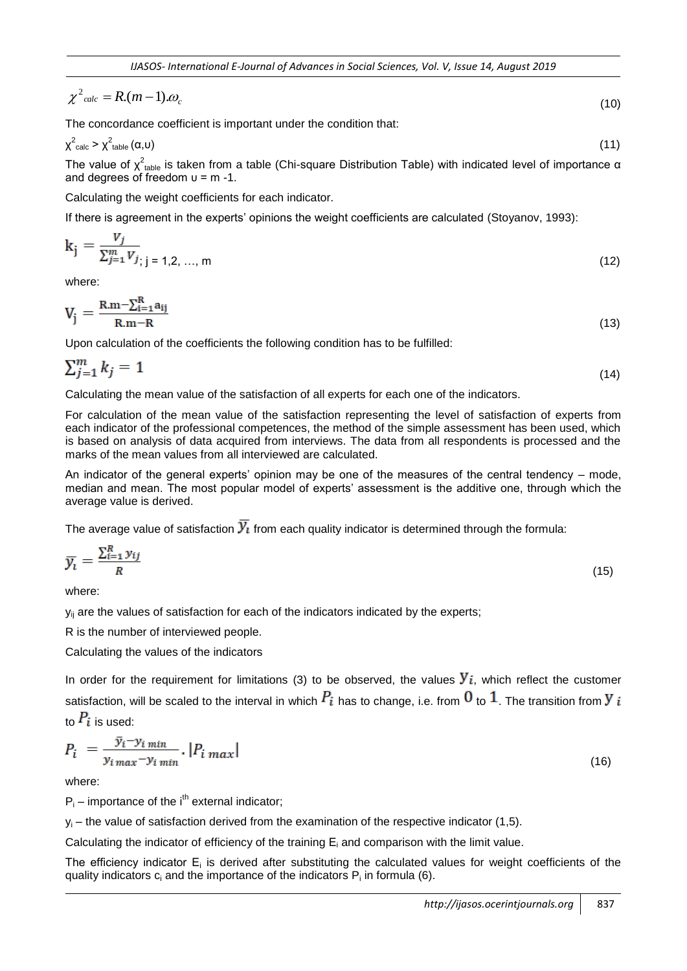$$
\chi^2_{\text{calc}} = R(m-1)\omega_c \tag{10}
$$

The concordance coefficient is important under the condition that:

$$
\chi^2_{\text{calc}} > \chi^2_{\text{table}}(\alpha, \upsilon) \tag{11}
$$

The value of  $\chi^2_\text{table}$  is taken from a table (Chi-square Distribution Table) with indicated level of importance α and degrees of freedom  $u = m - 1$ .

Calculating the weight coefficients for each indicator.

If there is agreement in the experts' opinions the weight coefficients are calculated (Stoyanov, 1993):

$$
k_{j} = \frac{V_{j}}{\sum_{j=1}^{m} V_{j}}_{j \text{ is } j = 1, 2, \dots, m}
$$
 (12)

where:

$$
V_j = \frac{R.m - \sum_{i=1}^{R} a_{ij}}{R.m - R}
$$
\n
$$
(13)
$$

Upon calculation of the coefficients the following condition has to be fulfilled:

$$
\sum_{j=1}^{m} k_j = 1 \tag{14}
$$

Calculating the mean value of the satisfaction of all experts for each one of the indicators.

For calculation of the mean value of the satisfaction representing the level of satisfaction of experts from each indicator of the professional competences, the method of the simple assessment has been used, which is based on analysis of data acquired from interviews. The data from all respondents is processed and the marks of the mean values from all interviewed are calculated.

An indicator of the general experts' opinion may be one of the measures of the central tendency – mode, median and mean. The most popular model of experts' assessment is the additive one, through which the average value is derived.

The average value of satisfaction  $\mathcal{Y}_l$  from each quality indicator is determined through the formula:

$$
\overline{y}_i = \frac{\sum_{i=1}^R y_{ij}}{R} \tag{15}
$$

where:

 $y_{ii}$  are the values of satisfaction for each of the indicators indicated by the experts;

R is the number of interviewed people.

Calculating the values of the indicators

In order for the requirement for limitations (3) to be observed, the values  $y_i$ , which reflect the customer satisfaction, will be scaled to the interval in which  $P_i$  has to change, i.e. from  $0$  to  $1$ . The transition from Y i to  $P_i$  is used:

$$
P_i = \frac{y_i - y_{i\min}}{y_{i\max} - y_{i\min}} \cdot |P_{i\max}| \tag{16}
$$

where:

 $P_i$  – importance of the i<sup>th</sup> external indicator;

 $y_i$  – the value of satisfaction derived from the examination of the respective indicator (1,5).

Calculating the indicator of efficiency of the training  $E_i$  and comparison with the limit value.

The efficiency indicator  $E_i$  is derived after substituting the calculated values for weight coefficients of the quality indicators  $c_i$  and the importance of the indicators  $P_i$  in formula (6).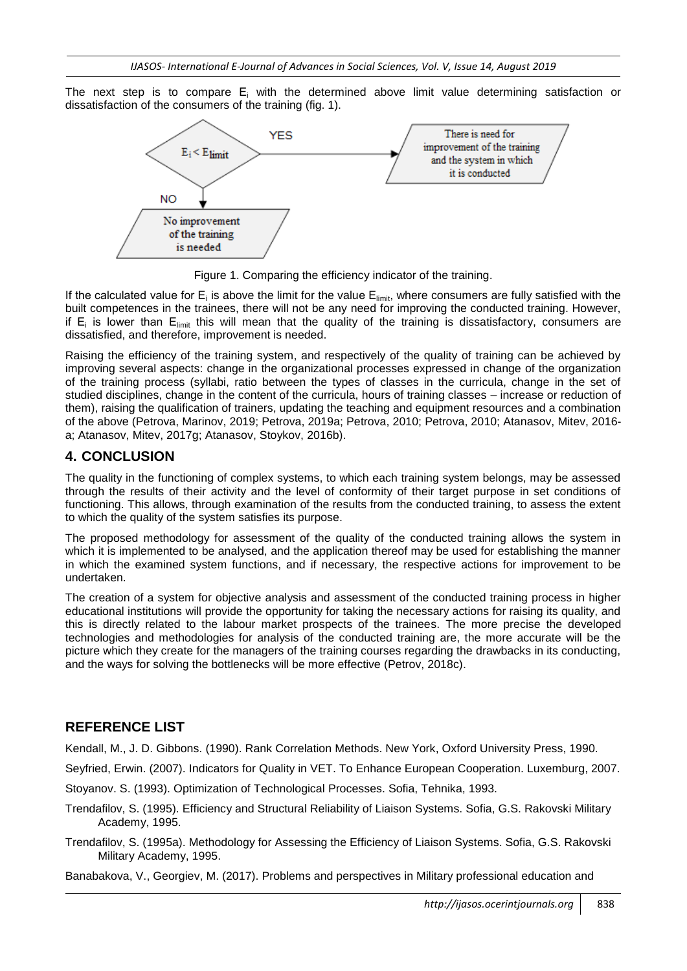The next step is to compare  $E_i$  with the determined above limit value determining satisfaction or dissatisfaction of the consumers of the training (fig. 1).



Figure 1. Comparing the efficiency indicator of the training.

If the calculated value for  $E_i$  is above the limit for the value  $E_{\text{limit}}$ , where consumers are fully satisfied with the built competences in the trainees, there will not be any need for improving the conducted training. However, if  $E_i$  is lower than  $E_{\text{limit}}$  this will mean that the quality of the training is dissatisfactory, consumers are dissatisfied, and therefore, improvement is needed.

Raising the efficiency of the training system, and respectively of the quality of training can be achieved by improving several aspects: change in the organizational processes expressed in change of the organization of the training process (syllabi, ratio between the types of classes in the curricula, change in the set of studied disciplines, change in the content of the curricula, hours of training classes – increase or reduction of them), raising the qualification of trainers, updating the teaching and equipment resources and a combination of the above (Petrova, Marinov, 2019; Petrova, 2019a; Petrova, 2010; Petrova, 2010; Atanasov, Mitev, 2016 a; Atanasov, Mitev, 2017g; Atanasov, Stoykov, 2016b).

# **4. CONCLUSION**

The quality in the functioning of complex systems, to which each training system belongs, may be assessed through the results of their activity and the level of conformity of their target purpose in set conditions of functioning. This allows, through examination of the results from the conducted training, to assess the extent to which the quality of the system satisfies its purpose.

The proposed methodology for assessment of the quality of the conducted training allows the system in which it is implemented to be analysed, and the application thereof may be used for establishing the manner in which the examined system functions, and if necessary, the respective actions for improvement to be undertaken.

The creation of a system for objective analysis and assessment of the conducted training process in higher educational institutions will provide the opportunity for taking the necessary actions for raising its quality, and this is directly related to the labour market prospects of the trainees. The more precise the developed technologies and methodologies for analysis of the conducted training are, the more accurate will be the picture which they create for the managers of the training courses regarding the drawbacks in its conducting, and the ways for solving the bottlenecks will be more effective (Petrov, 2018c).

# **REFERENCE LIST**

Kendall, M., J. D. Gibbons. (1990). Rank Correlation Methods. New York, Oxford University Press, 1990.

Seyfried, Erwin. (2007). Indicators for Quality in VET. To Enhance European Cooperation. Luxemburg, 2007.

Stoyanov. S. (1993). Optimization of Technological Processes. Sofia, Tehnika, 1993.

- Trendafilov, S. (1995). Efficiency and Structural Reliability of Liaison Systems. Sofia, G.S. Rakovski Military Academy, 1995.
- Trendafilov, S. (1995a). Methodology for Assessing the Efficiency of Liaison Systems. Sofia, G.S. Rakovski Military Academy, 1995.

Banabakova, V., Georgiev, M. (2017). Problems and perspectives in Military professional education and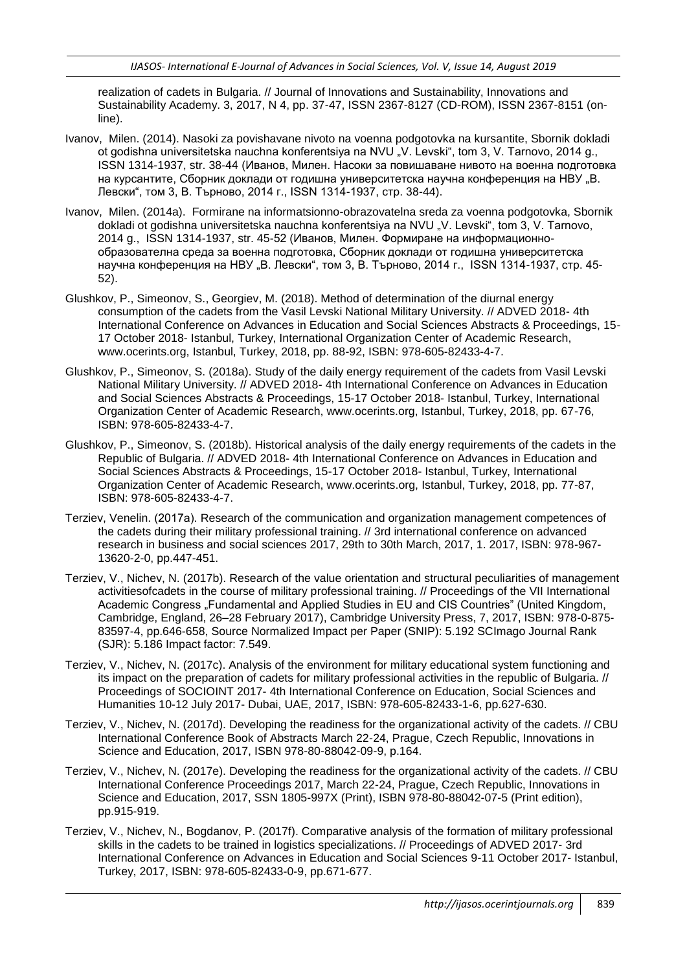realization of cadets in Bulgaria. // Journal of Innovations and Sustainability, Innovations and Sustainability Academy. 3, 2017, N 4, pp. 37-47, ISSN 2367-8127 (CD-ROM), ISSN 2367-8151 (online).

- Ivanov, Milen. (2014). Nasoki za povishavane nivoto na voenna podgotovka na kursantite, Sbornik dokladi ot godishna universitetska nauchna konferentsiya na NVU "V. Levski", tom 3, V. Tarnovo, 2014 g., ISSN 1314-1937, str. 38-44 (Иванов, Милен. Насоки за повишаване нивото на военна подготовка на курсантите, Сборник доклади от годишна университетска научна конференция на НВУ "В. Левски", том 3, В. Търново, 2014 г., ISSN 1314-1937, стр. 38-44).
- Ivanov, Milen. (2014a). Formirane na informatsionno-obrazovatelna sreda za voenna podgotovka, Sbornik dokladi ot godishna universitetska nauchna konferentsiya na NVU "V. Levski", tom 3, V. Tarnovo, 2014 g., ISSN 1314-1937, str. 45-52 (Иванов, Милен. Формиране на информационнообразователна среда за военна подготовка, Сборник доклади от годишна университетска научна конференция на НВУ "В. Левски", том 3, В. Търново, 2014 г., ISSN 1314-1937, стр. 45-52).
- Glushkov, P., Simeonov, S., Georgiev, M. (2018). Method of determination of the diurnal energy consumption of the cadets from the Vasil Levski National Military University. // ADVED 2018- 4th International Conference on Advances in Education and Social Sciences Abstracts & Proceedings, 15- 17 October 2018- Istanbul, Turkey, International Organization Center of Academic Research, www.ocerints.org, Istanbul, Turkey, 2018, pp. 88-92, ISBN: 978-605-82433-4-7.
- Glushkov, P., Simeonov, S. (2018a). Study of the daily energy requirement of the cadets from Vasil Levski National Military University. // ADVED 2018- 4th International Conference on Advances in Education and Social Sciences Abstracts & Proceedings, 15-17 October 2018- Istanbul, Turkey, International Organization Center of Academic Research, www.ocerints.org, Istanbul, Turkey, 2018, pp. 67-76, ISBN: 978-605-82433-4-7.
- Glushkov, P., Simeonov, S. (2018b). Historical analysis of the daily energy requirements of the cadets in the Republic of Bulgaria. // ADVED 2018- 4th International Conference on Advances in Education and Social Sciences Abstracts & Proceedings, 15-17 October 2018- Istanbul, Turkey, International Organization Center of Academic Research, www.ocerints.org, Istanbul, Turkey, 2018, pp. 77-87, ISBN: 978-605-82433-4-7.
- Terziev, Venelin. (2017а). Research of the communication and organization management competences of the cadets during their military professional training. // 3rd international conference on advanced research in business and social sciences 2017, 29th to 30th March, 2017, 1. 2017, ISBN: 978-967- 13620-2-0, pp.447-451.
- Terziev, V., Nichev, N. (2017b). Research of the value orientation and structural peculiarities of management activitiesofcadets in the course of military professional training. // Proceedings of the VII International Academic Congress "Fundamental and Applied Studies in EU and CIS Countries" (United Kingdom, Cambridge, England, 26–28 February 2017), Cambridge University Press, 7, 2017, ISBN: 978-0-875- 83597-4, pp.646-658, Source Normalized Impact per Paper (SNIP): 5.192 SCImago Journal Rank (SJR): 5.186 Impact factor: 7.549.
- Terziev, V., Nichev, N. (2017c). Analysis of the environment for military educational system functioning and its impact on the preparation of cadets for military professional activities in the republic of Bulgaria. // Proceedings of SOCIOINT 2017- 4th International Conference on Education, Social Sciences and Humanities 10-12 July 2017- Dubai, UAE, 2017, ISBN: 978-605-82433-1-6, pp.627-630.
- Terziev, V., Nichev, N. (2017d). Developing the readiness for the organizational activity of the cadets. // CBU International Conference Book of Abstracts March 22-24, Prague, Czech Republic, Innovations in Science and Education, 2017, ISBN 978-80-88042-09-9, p.164.
- Terziev, V., Nichev, N. (2017e). Developing the readiness for the organizational activity of the cadets. // CBU International Conference Proceedings 2017, March 22-24, Prague, Czech Republic, Innovations in Science and Education, 2017, SSN 1805-997X (Print), ISBN 978-80-88042-07-5 (Print edition), pp.915-919.
- Terziev, V., Nichev, N., Bogdanov, P. (2017f). Comparative analysis of the formation of military professional skills in the cadets to be trained in logistics specializations. // Proceedings of ADVED 2017- 3rd International Conference on Advances in Education and Social Sciences 9-11 October 2017- Istanbul, Turkey, 2017, ISBN: 978-605-82433-0-9, pp.671-677.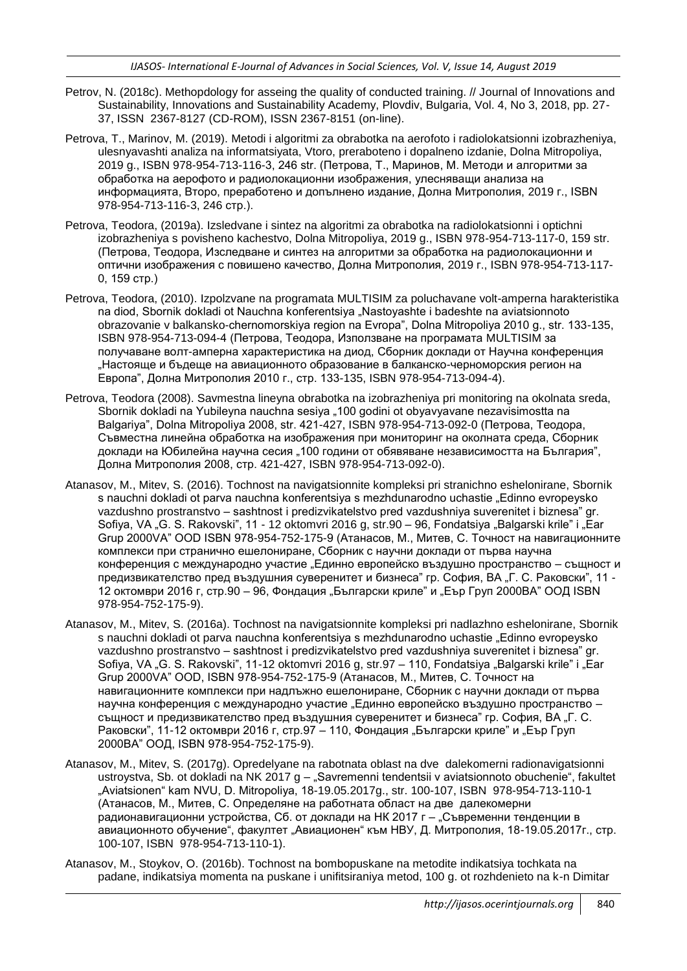- Petrov, N. (2018c). Methopdology for asseing the quality of conducted training. // Journal of Innovations and Sustainability, Innovations and Sustainability Academy, Plovdiv, Bulgaria, Vol. 4, No 3, 2018, pp. 27- 37, ISSN 2367-8127 (CD-ROM), ISSN 2367-8151 (on-line).
- Petrova, T., Marinov, M. (2019). Metodi i algoritmi za obrabotka na aerofoto i radiolokatsionni izobrazheniya, ulesnyavashti analiza na informatsiyata, Vtoro, preraboteno i dopalneno izdanie, Dolna Mitropoliya, 2019 g., ISBN 978-954-713-116-3, 246 str. (Петрова, Т., Маринов, М. Методи и алгоритми за обработка на аерофото и радиолокационни изображения, улесняващи анализа на информацията, Второ, преработено и допълнено издание, Долна Митрополия, 2019 г., ISBN 978-954-713-116-3, 246 стр.).
- Petrova, Teodora, (2019a). Izsledvane i sintez na algoritmi za obrabotka na radiolokatsionni i optichni izobrazheniya s povisheno kachestvo, Dolna Mitropoliya, 2019 g., ISBN 978-954-713-117-0, 159 str. (Петрова, Теодора, Изследване и синтез на алгоритми за обработка на радиолокационни и оптични изображения с повишено качество, Долна Митрополия, 2019 г., ISBN 978-954-713-117- 0, 159 стр.)
- Petrova, Teodora, (2010). Izpolzvane na programata MULTISIM za poluchavane volt-amperna harakteristika na diod, Sbornik dokladi ot Nauchna konferentsiya "Nastoyashte i badeshte na aviatsionnoto obrazovanie v balkansko-chernomorskiya region na Evropa", Dolna Mitropoliya 2010 g., str. 133-135, ISBN 978-954-713-094-4 (Петрова, Теодора, Използване на програмата MULTISIM за получаване волт-амперна характеристика на диод, Сборник доклади от Научна конференция "Настояще и бъдеще на авиационното образование в балканско-черноморския регион на Европа", Долна Митрополия 2010 г., стр. 133-135, ISBN 978-954-713-094-4).
- Petrova, Teodora (2008). Savmestna lineyna obrabotka na izobrazheniya pri monitoring na okolnata sreda, Sbornik dokladi na Yubileyna nauchna sesiya "100 godini ot obyavyavane nezavisimostta na Balgariya", Dolna Mitropoliya 2008, str. 421-427, ISBN 978-954-713-092-0 (Петрова, Теодора, Съвместна линейна обработка на изображения при мониторинг на околната среда, Сборник доклади на Юбилейна научна сесия "100 години от обявяване независимостта на България", Долна Митрополия 2008, стр. 421-427, ISBN 978-954-713-092-0).
- Atanasov, M., Mitev, S. (2016). Tochnost na navigatsionnite kompleksi pri stranichno eshelonirane, Sbornik s nauchni dokladi ot parva nauchna konferentsiya s mezhdunarodno uchastie "Edinno evropeysko vazdushno prostranstvo – sashtnost i predizvikatelstvo pred vazdushniya suverenitet i biznesa" gr. Sofiya, VA "G. S. Rakovski", 11 - 12 oktomvri 2016 g, str.90 – 96. Fondatsiya "Balgarski krile" i "Ear Grup 2000VA" OOD ISBN 978-954-752-175-9 (Атанасов, М., Митев, С. Точност на навигационните комплекси при странично ешелониране, Сборник с научни доклади от първа научна конференция с международно участие "Единно европейско въздушно пространство – същност и предизвикателство пред въздушния суверенитет и бизнеса" гр. София, ВА "Г. С. Раковски", 11 -12 октомври 2016 г, стр.90 – 96, Фондация "Български криле" и "Еър Груп 2000ВА" ООД ISBN 978-954-752-175-9).
- Atanasov, M., Mitev, S. (2016a). Tochnost na navigatsionnite kompleksi pri nadlazhno eshelonirane, Sbornik s nauchni dokladi ot parva nauchna konferentsiya s mezhdunarodno uchastie "Edinno evropeysko vazdushno prostranstvo – sashtnost i predizvikatelstvo pred vazdushniya suverenitet i biznesa" gr. Sofiya, VA "G. S. Rakovski", 11-12 oktomvri 2016 g, str.97 - 110, Fondatsiya "Balgarski krile" i "Ear Grup 2000VA" OOD, ISBN 978-954-752-175-9 (Атанасов, М., Митев, С. Точност на навигационните комплекси при надлъжно ешелониране, Сборник с научни доклади от първа научна конференция с международно участие "Единно европейско въздушно пространство – същност и предизвикателство пред въздушния суверенитет и бизнеса" гр. София, ВА "Г. С. Раковски", 11-12 октомври 2016 г, стр.97 – 110, Фондация "Български криле" и "Еър Груп 2000ВА" ООД, ISBN 978-954-752-175-9).
- Atanasov, M., Mitev, S. (2017g). Opredelyane na rabotnata oblast na dve dalekomerni radionavigatsionni ustroystva, Sb. ot dokladi na NK 2017 g - "Savremenni tendentsii v aviatsionnoto obuchenie", fakultet "Aviatsionen" kam NVU, D. Mitropoliya, 18-19.05.2017g., str. 100-107, ISBN 978-954-713-110-1 (Атанасов, М., Митев, С. Определяне на работната област на две далекомерни радионавигационни устройства, Сб. от доклади на НК 2017 г – "Съвременни тенденции в авиационното обучение", факултет "Авиационен" към НВУ, Д. Митрополия, 18-19.05.2017г., стр. 100-107, ISBN 978-954-713-110-1).
- Atanasov, M., Stoykov, O. (2016b). Tochnost na bombopuskane na metodite indikatsiya tochkata na padane, indikatsiya momenta na puskane i unifitsiraniya metod, 100 g. ot rozhdenieto na k-n Dimitar